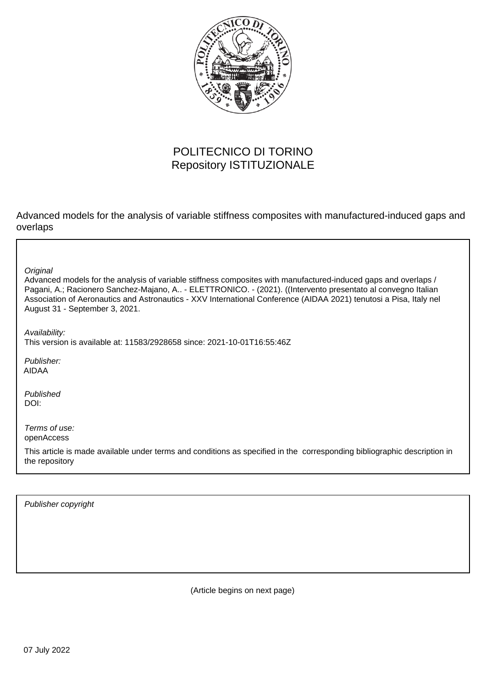

# POLITECNICO DI TORINO Repository ISTITUZIONALE

Advanced models for the analysis of variable stiffness composites with manufactured-induced gaps and overlaps

**Original** 

Advanced models for the analysis of variable stiffness composites with manufactured-induced gaps and overlaps / Pagani, A.; Racionero Sanchez-Majano, A.. - ELETTRONICO. - (2021). ((Intervento presentato al convegno Italian Association of Aeronautics and Astronautics - XXV International Conference (AIDAA 2021) tenutosi a Pisa, Italy nel August 31 - September 3, 2021.

Availability: This version is available at: 11583/2928658 since: 2021-10-01T16:55:46Z

Publisher: AIDAA

Published DOI:

Terms of use: openAccess

This article is made available under terms and conditions as specified in the corresponding bibliographic description in the repository

Publisher copyright

(Article begins on next page)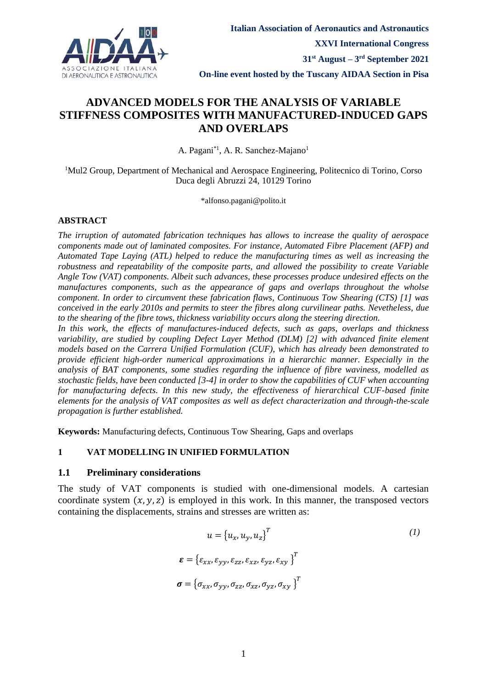

## **ADVANCED MODELS FOR THE ANALYSIS OF VARIABLE STIFFNESS COMPOSITES WITH MANUFACTURED-INDUCED GAPS AND OVERLAPS**

A. Pagani<sup>\*1</sup>, A. R. Sanchez-Majano<sup>1</sup>

<sup>1</sup>Mul2 Group, Department of Mechanical and Aerospace Engineering, Politecnico di Torino, Corso Duca degli Abruzzi 24, 10129 Torino

\*alfonso.pagani@polito.it

#### **ABSTRACT**

*The irruption of automated fabrication techniques has allows to increase the quality of aerospace components made out of laminated composites. For instance, Automated Fibre Placement (AFP) and Automated Tape Laying (ATL) helped to reduce the manufacturing times as well as increasing the robustness and repeatability of the composite parts, and allowed the possibility to create Variable Angle Tow (VAT) components. Albeit such advances, these processes produce undesired effects on the manufactures components, such as the appearance of gaps and overlaps throughout the wholse component. In order to circumvent these fabrication flaws, Continuous Tow Shearing (CTS) [1] was conceived in the early 2010s and permits to steer the fibres along curvilinear paths. Nevetheless, due to the shearing of the fibre tows, thickness variability occurs along the steering direction.*

*In this work, the effects of manufactures-induced defects, such as gaps, overlaps and thickness variability, are studied by coupling Defect Layer Method (DLM) [2] with advanced finite element models based on the Carrera Unified Formulation (CUF), which has already been demonstrated to provide efficient high-order numerical approximations in a hierarchic manner. Especially in the analysis of BAT components, some studies regarding the influence of fibre waviness, modelled as stochastic fields, have been conducted [3-4] in order to show the capabilities of CUF when accounting for manufacturing defects. In this new study, the effectiveness of hierarchical CUF-based finite elements for the analysis of VAT composites as well as defect characterization and through-the-scale propagation is further established.*

**Keywords:** Manufacturing defects, Continuous Tow Shearing, Gaps and overlaps

#### **1 VAT MODELLING IN UNIFIED FORMULATION**

#### **1.1 Preliminary considerations**

The study of VAT components is studied with one-dimensional models. A cartesian coordinate system  $(x, y, z)$  is employed in this work. In this manner, the transposed vectors containing the displacements, strains and stresses are written as:

$$
u = \{u_x, u_y, u_z\}^T
$$

$$
\boldsymbol{\varepsilon} = \{\varepsilon_{xx}, \varepsilon_{yy}, \varepsilon_{zz}, \varepsilon_{xz}, \varepsilon_{yz}, \varepsilon_{xy}\}^T
$$

$$
\boldsymbol{\sigma} = \{\sigma_{xx}, \sigma_{yy}, \sigma_{zz}, \sigma_{xz}, \sigma_{yz}, \sigma_{xy}\}^T
$$

$$
(1)
$$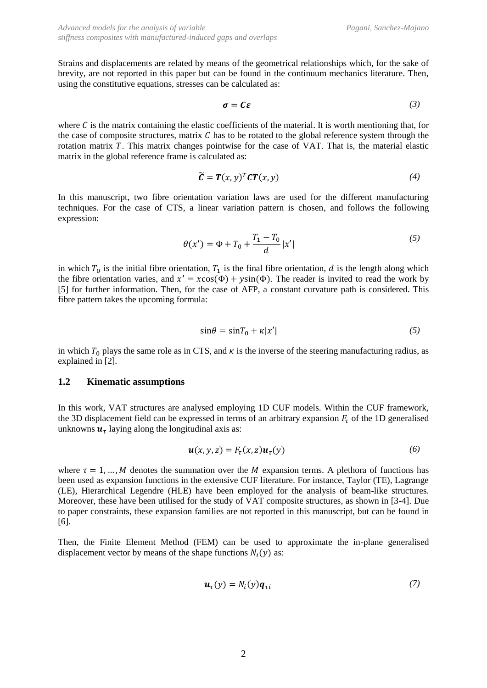Strains and displacements are related by means of the geometrical relationships which, for the sake of brevity, are not reported in this paper but can be found in the continuum mechanics literature. Then, using the constitutive equations, stresses can be calculated as:

$$
\sigma = C\varepsilon \tag{3}
$$

where  $C$  is the matrix containing the elastic coefficients of the material. It is worth mentioning that, for the case of composite structures, matrix  $C$  has to be rotated to the global reference system through the rotation matrix T. This matrix changes pointwise for the case of VAT. That is, the material elastic matrix in the global reference frame is calculated as:

$$
\widetilde{\mathbf{C}} = \mathbf{T}(x, y)^T \mathbf{C} \mathbf{T}(x, y) \tag{4}
$$

In this manuscript, two fibre orientation variation laws are used for the different manufacturing techniques. For the case of CTS, a linear variation pattern is chosen, and follows the following expression:

$$
\theta(x') = \Phi + T_0 + \frac{T_1 - T_0}{d} |x'| \tag{5}
$$

in which  $T_0$  is the initial fibre orientation,  $T_1$  is the final fibre orientation, d is the length along which the fibre orientation varies, and  $x' = x\cos(\Phi) + y\sin(\Phi)$ . The reader is invited to read the work by [5] for further information. Then, for the case of AFP, a constant curvature path is considered. This fibre pattern takes the upcoming formula:

$$
\sin \theta = \sin T_0 + \kappa |x'| \tag{5}
$$

in which  $T_0$  plays the same role as in CTS, and  $\kappa$  is the inverse of the steering manufacturing radius, as explained in [2].

#### **1.2 Kinematic assumptions**

In this work, VAT structures are analysed employing 1D CUF models. Within the CUF framework, the 3D displacement field can be expressed in terms of an arbitrary expansion  $F<sub>\tau</sub>$  of the 1D generalised unknowns  $\boldsymbol{u}_{\tau}$  laying along the longitudinal axis as:

$$
\mathbf{u}(x, y, z) = F_{\tau}(x, z) \mathbf{u}_{\tau}(y) \tag{6}
$$

where  $\tau = 1, ..., M$  denotes the summation over the M expansion terms. A plethora of functions has been used as expansion functions in the extensive CUF literature. For instance, Taylor (TE), Lagrange (LE), Hierarchical Legendre (HLE) have been employed for the analysis of beam-like structures. Moreover, these have been utilised for the study of VAT composite structures, as shown in [3-4]. Due to paper constraints, these expansion families are not reported in this manuscript, but can be found in [6].

Then, the Finite Element Method (FEM) can be used to approximate the in-plane generalised displacement vector by means of the shape functions  $N_i(y)$  as:

$$
\boldsymbol{u}_{\tau}(y) = N_i(y)\boldsymbol{q}_{\tau i} \tag{7}
$$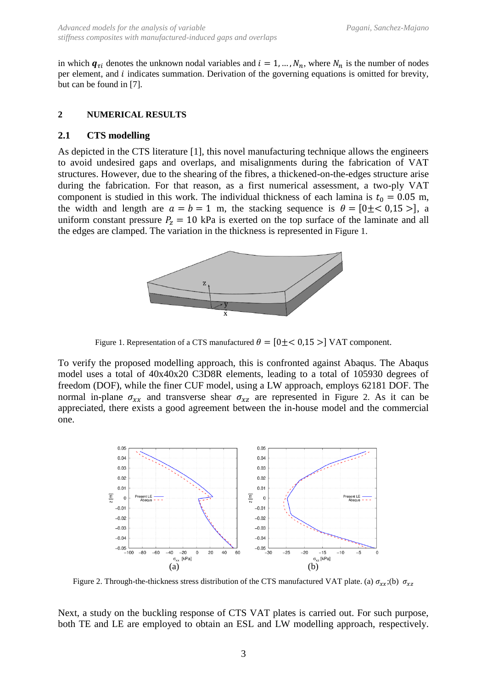in which  $q_{\tau i}$  denotes the unknown nodal variables and  $i = 1, ..., N_n$ , where  $N_n$  is the number of nodes per element, and  $i$  indicates summation. Derivation of the governing equations is omitted for brevity, but can be found in [7].

#### **2 NUMERICAL RESULTS**

### **2.1 CTS modelling**

As depicted in the CTS literature [1], this novel manufacturing technique allows the engineers to avoid undesired gaps and overlaps, and misalignments during the fabrication of VAT structures. However, due to the shearing of the fibres, a thickened-on-the-edges structure arise during the fabrication. For that reason, as a first numerical assessment, a two-ply VAT component is studied in this work. The individual thickness of each lamina is  $t_0 = 0.05$  m, the width and length are  $a = b = 1$  m, the stacking sequence is  $\theta = [0 \pm \langle 0.15 \rangle]$ , a uniform constant pressure  $P_z = 10$  kPa is exerted on the top surface of the laminate and all the edges are clamped. The variation in the thickness is represented in [Figure 1.](#page-3-0)



Figure 1. Representation of a CTS manufactured  $\theta = [0 \pm \langle 0.15 \rangle]$  VAT component.

<span id="page-3-0"></span>To verify the proposed modelling approach, this is confronted against Abaqus. The Abaqus model uses a total of 40x40x20 C3D8R elements, leading to a total of 105930 degrees of freedom (DOF), while the finer CUF model, using a LW approach, employs 62181 DOF. The normal in-plane  $\sigma_{xx}$  and transverse shear  $\sigma_{xz}$  are represented in [Figure 2.](#page-3-1) As it can be appreciated, there exists a good agreement between the in-house model and the commercial one.



<span id="page-3-1"></span>Figure 2. Through-the-thickness stress distribution of the CTS manufactured VAT plate. (a)  $\sigma_{xx}$ ;(b)  $\sigma_{xz}$ 

Next, a study on the buckling response of CTS VAT plates is carried out. For such purpose, both TE and LE are employed to obtain an ESL and LW modelling approach, respectively.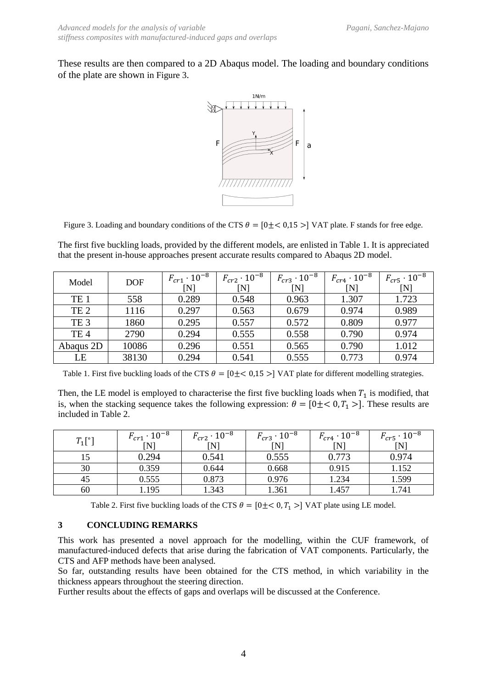These results are then compared to a 2D Abaqus model. The loading and boundary conditions of the plate are shown in [Figure 3](#page-4-0).



<span id="page-4-0"></span>Figure 3. Loading and boundary conditions of the CTS  $\theta = [0 \pm < 0.15 >]$  VAT plate. F stands for free edge.

The first five buckling loads, provided by the different models, are enlisted in [Table 1.](#page-4-1) It is appreciated that the present in-house approaches present accurate results compared to Abaqus 2D model.

| Model           | <b>DOF</b> | $F_{cr1} \cdot 10^{-8}$<br>N | $F_{cr2} \cdot 10^{-8}$<br>$\mathbf N$ | $F_{cr3} \cdot 10^{-8}$<br>[N] | $F_{cr4}\cdot 10^{-8}$<br>N | $F_{cr5} \cdot 10^{-8}$<br>[N] |
|-----------------|------------|------------------------------|----------------------------------------|--------------------------------|-----------------------------|--------------------------------|
| TE <sub>1</sub> | 558        | 0.289                        | 0.548                                  | 0.963                          | 1.307                       | 1.723                          |
| TE <sub>2</sub> | 1116       | 0.297                        | 0.563                                  | 0.679                          | 0.974                       | 0.989                          |
| TE <sub>3</sub> | 1860       | 0.295                        | 0.557                                  | 0.572                          | 0.809                       | 0.977                          |
| TE <sub>4</sub> | 2790       | 0.294                        | 0.555                                  | 0.558                          | 0.790                       | 0.974                          |
| Abaqus 2D       | 10086      | 0.296                        | 0.551                                  | 0.565                          | 0.790                       | 1.012                          |
| LE              | 38130      | 0.294                        | 0.541                                  | 0.555                          | 0.773                       | 0.974                          |

<span id="page-4-1"></span>Table 1. First five buckling loads of the CTS  $\theta = [0 \pm \langle 0.15 \rangle]$  VAT plate for different modelling strategies.

Then, the LE model is employed to characterise the first five buckling loads when  $T_1$  is modified, that is, when the stacking sequence takes the following expression:  $\theta = [0 \pm \langle 0, T_1 \rangle]$ . These results are included in [Table 2.](#page-4-2)

| $T_1[^{\circ}]$ | $F_{cr1} \cdot 10^{-8}$<br>$\mathsf{[N]}$ | $F_{cr2} \cdot 10^{-8}$<br>[N] | $F_{cr3} \cdot 10^{-8}$<br>[N] | $F_{cr4} \cdot 10^{-8}$<br>$\overline{\rm [N]}$ | $F_{cr5} \cdot 10^{-8}$<br>[N] |
|-----------------|-------------------------------------------|--------------------------------|--------------------------------|-------------------------------------------------|--------------------------------|
| 15              | 0.294                                     | 0.541                          | 0.555                          | 0.773                                           | 0.974                          |
| 30              | 0.359                                     | 0.644                          | 0.668                          | 0.915                                           | 1.152                          |
| 45              | 0.555                                     | 0.873                          | 0.976                          | 1.234                                           | 1.599                          |
| 60              | .195                                      | 1.343                          | 1.361                          | 1.457                                           | 1.741                          |

Table 2. First five buckling loads of the CTS  $\theta = [0 \pm \langle 0, T_1 \rangle]$  VAT plate using LE model.

#### <span id="page-4-2"></span>**3 CONCLUDING REMARKS**

This work has presented a novel approach for the modelling, within the CUF framework, of manufactured-induced defects that arise during the fabrication of VAT components. Particularly, the CTS and AFP methods have been analysed.

So far, outstanding results have been obtained for the CTS method, in which variability in the thickness appears throughout the steering direction.

Further results about the effects of gaps and overlaps will be discussed at the Conference.